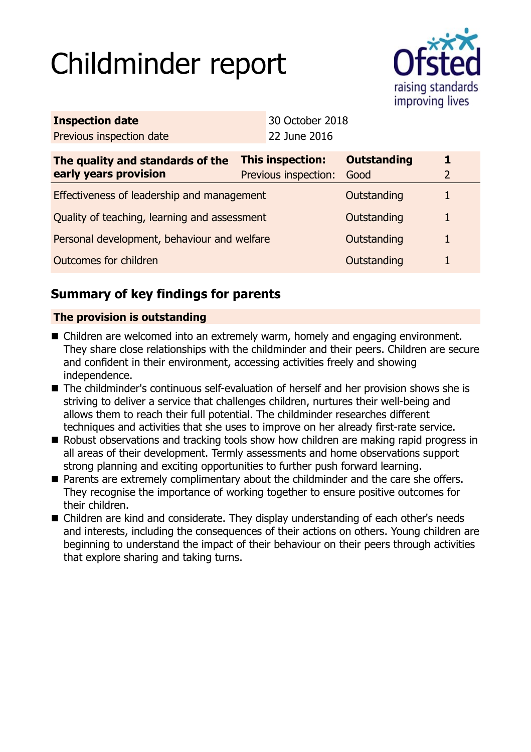# Childminder report



| <b>Inspection date</b>                                    |  | 30 October 2018                                 |                            |                     |
|-----------------------------------------------------------|--|-------------------------------------------------|----------------------------|---------------------|
| Previous inspection date                                  |  | 22 June 2016                                    |                            |                     |
| The quality and standards of the<br>early years provision |  | <b>This inspection:</b><br>Previous inspection: | <b>Outstanding</b><br>Good | 1<br>$\overline{2}$ |
| Effectiveness of leadership and management                |  |                                                 | Outstanding                | $\mathbf{1}$        |
| Quality of teaching, learning and assessment              |  |                                                 | Outstanding                | $\mathbf{1}$        |
| Personal development, behaviour and welfare               |  |                                                 | Outstanding                | $\mathbf{1}$        |
| Outcomes for children                                     |  |                                                 | Outstanding                | $\mathbf{1}$        |
|                                                           |  |                                                 |                            |                     |

# **Summary of key findings for parents**

## **The provision is outstanding**

- Children are welcomed into an extremely warm, homely and engaging environment. They share close relationships with the childminder and their peers. Children are secure and confident in their environment, accessing activities freely and showing independence.
- The childminder's continuous self-evaluation of herself and her provision shows she is striving to deliver a service that challenges children, nurtures their well-being and allows them to reach their full potential. The childminder researches different techniques and activities that she uses to improve on her already first-rate service.
- Robust observations and tracking tools show how children are making rapid progress in all areas of their development. Termly assessments and home observations support strong planning and exciting opportunities to further push forward learning.
- Parents are extremely complimentary about the childminder and the care she offers. They recognise the importance of working together to ensure positive outcomes for their children.
- Children are kind and considerate. They display understanding of each other's needs and interests, including the consequences of their actions on others. Young children are beginning to understand the impact of their behaviour on their peers through activities that explore sharing and taking turns.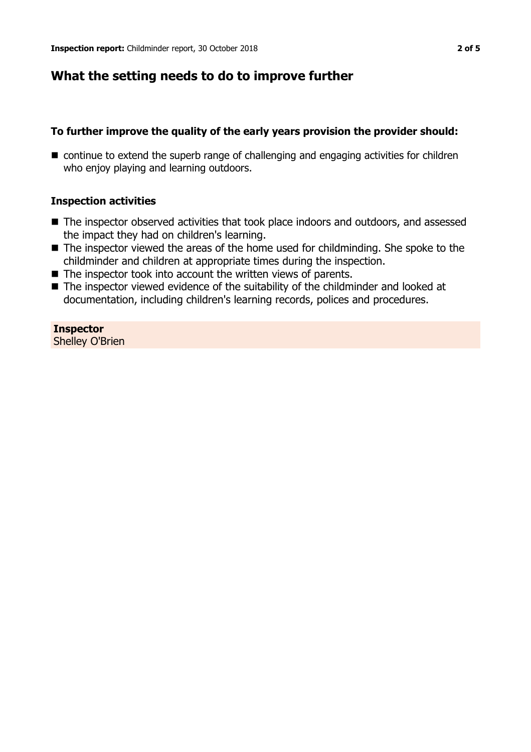## **What the setting needs to do to improve further**

## **To further improve the quality of the early years provision the provider should:**

■ continue to extend the superb range of challenging and engaging activities for children who enjoy playing and learning outdoors.

## **Inspection activities**

- The inspector observed activities that took place indoors and outdoors, and assessed the impact they had on children's learning.
- The inspector viewed the areas of the home used for childminding. She spoke to the childminder and children at appropriate times during the inspection.
- $\blacksquare$  The inspector took into account the written views of parents.
- $\blacksquare$  The inspector viewed evidence of the suitability of the childminder and looked at documentation, including children's learning records, polices and procedures.

**Inspector** Shelley O'Brien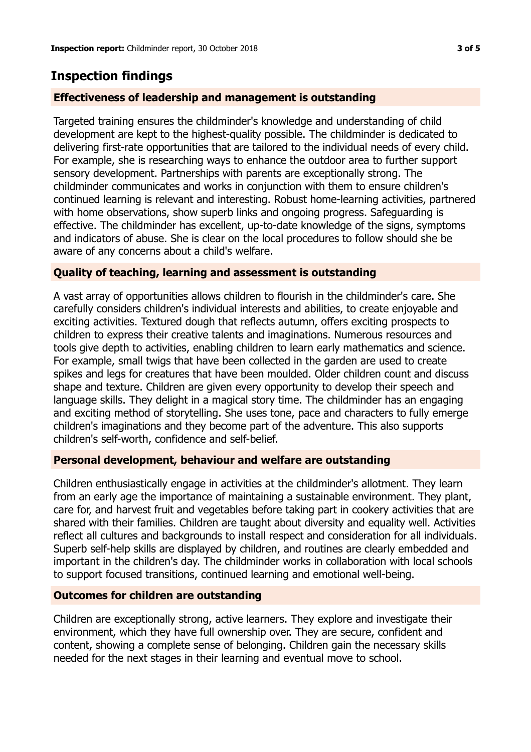# **Inspection findings**

## **Effectiveness of leadership and management is outstanding**

Targeted training ensures the childminder's knowledge and understanding of child development are kept to the highest-quality possible. The childminder is dedicated to delivering first-rate opportunities that are tailored to the individual needs of every child. For example, she is researching ways to enhance the outdoor area to further support sensory development. Partnerships with parents are exceptionally strong. The childminder communicates and works in conjunction with them to ensure children's continued learning is relevant and interesting. Robust home-learning activities, partnered with home observations, show superb links and ongoing progress. Safeguarding is effective. The childminder has excellent, up-to-date knowledge of the signs, symptoms and indicators of abuse. She is clear on the local procedures to follow should she be aware of any concerns about a child's welfare.

## **Quality of teaching, learning and assessment is outstanding**

A vast array of opportunities allows children to flourish in the childminder's care. She carefully considers children's individual interests and abilities, to create enjoyable and exciting activities. Textured dough that reflects autumn, offers exciting prospects to children to express their creative talents and imaginations. Numerous resources and tools give depth to activities, enabling children to learn early mathematics and science. For example, small twigs that have been collected in the garden are used to create spikes and legs for creatures that have been moulded. Older children count and discuss shape and texture. Children are given every opportunity to develop their speech and language skills. They delight in a magical story time. The childminder has an engaging and exciting method of storytelling. She uses tone, pace and characters to fully emerge children's imaginations and they become part of the adventure. This also supports children's self-worth, confidence and self-belief.

## **Personal development, behaviour and welfare are outstanding**

Children enthusiastically engage in activities at the childminder's allotment. They learn from an early age the importance of maintaining a sustainable environment. They plant, care for, and harvest fruit and vegetables before taking part in cookery activities that are shared with their families. Children are taught about diversity and equality well. Activities reflect all cultures and backgrounds to install respect and consideration for all individuals. Superb self-help skills are displayed by children, and routines are clearly embedded and important in the children's day. The childminder works in collaboration with local schools to support focused transitions, continued learning and emotional well-being.

## **Outcomes for children are outstanding**

Children are exceptionally strong, active learners. They explore and investigate their environment, which they have full ownership over. They are secure, confident and content, showing a complete sense of belonging. Children gain the necessary skills needed for the next stages in their learning and eventual move to school.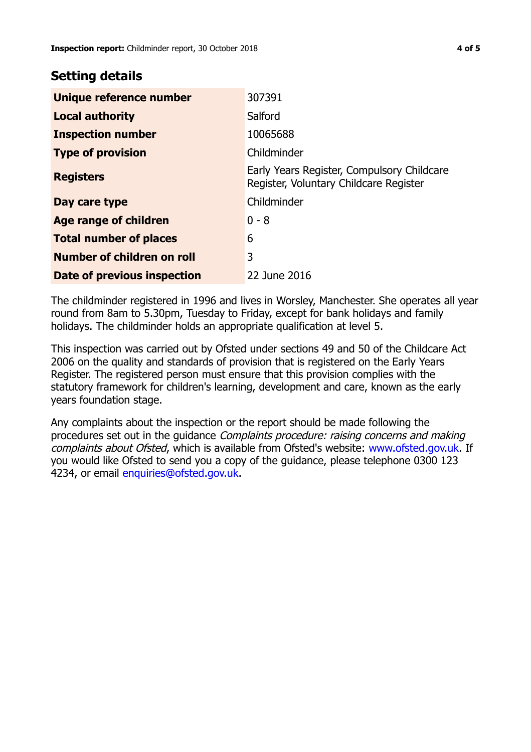## **Setting details**

| Unique reference number       | 307391                                                                               |  |
|-------------------------------|--------------------------------------------------------------------------------------|--|
| <b>Local authority</b>        | Salford                                                                              |  |
| <b>Inspection number</b>      | 10065688                                                                             |  |
| <b>Type of provision</b>      | Childminder                                                                          |  |
| <b>Registers</b>              | Early Years Register, Compulsory Childcare<br>Register, Voluntary Childcare Register |  |
| Day care type                 | Childminder                                                                          |  |
| Age range of children         | $0 - 8$                                                                              |  |
| <b>Total number of places</b> | 6                                                                                    |  |
| Number of children on roll    | 3                                                                                    |  |
| Date of previous inspection   | 22 June 2016                                                                         |  |

The childminder registered in 1996 and lives in Worsley, Manchester. She operates all year round from 8am to 5.30pm, Tuesday to Friday, except for bank holidays and family holidays. The childminder holds an appropriate qualification at level 5.

This inspection was carried out by Ofsted under sections 49 and 50 of the Childcare Act 2006 on the quality and standards of provision that is registered on the Early Years Register. The registered person must ensure that this provision complies with the statutory framework for children's learning, development and care, known as the early years foundation stage.

Any complaints about the inspection or the report should be made following the procedures set out in the guidance Complaints procedure: raising concerns and making complaints about Ofsted, which is available from Ofsted's website: www.ofsted.gov.uk. If you would like Ofsted to send you a copy of the guidance, please telephone 0300 123 4234, or email [enquiries@ofsted.gov.uk.](mailto:enquiries@ofsted.gov.uk)